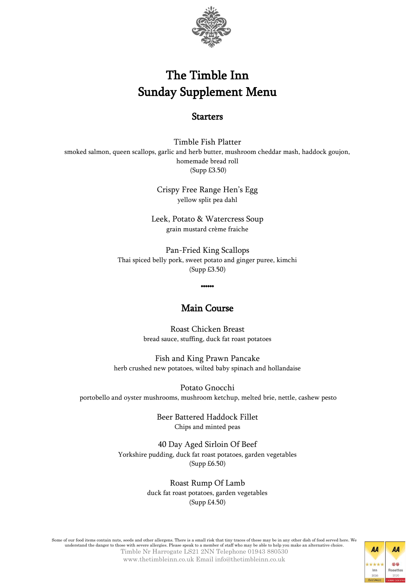

## The Timble Inn Sunday Supplement Menu

## **Starters**

Timble Fish Platter smoked salmon, queen scallops, garlic and herb butter, mushroom cheddar mash, haddock goujon, homemade bread roll (Supp £3.50)

> Crispy Free Range Hen's Egg yellow split pea dahl

Leek, Potato & Watercress Soup grain mustard crème fraiche

Pan-Fried King Scallops Thai spiced belly pork, sweet potato and ginger puree, kimchi (Supp £3.50)

## Main Course

\*\*\*\*\*\*

Roast Chicken Breast bread sauce, stuffing, duck fat roast potatoes

Fish and King Prawn Pancake herb crushed new potatoes, wilted baby spinach and hollandaise

Potato Gnocchi portobello and oyster mushrooms, mushroom ketchup, melted brie, nettle, cashew pesto

> Beer Battered Haddock Fillet Chips and minted peas

40 Day Aged Sirloin Of Beef Yorkshire pudding, duck fat roast potatoes, garden vegetables (Supp £6.50)

> Roast Rump Of Lamb duck fat roast potatoes, garden vegetables (Supp £4.50)